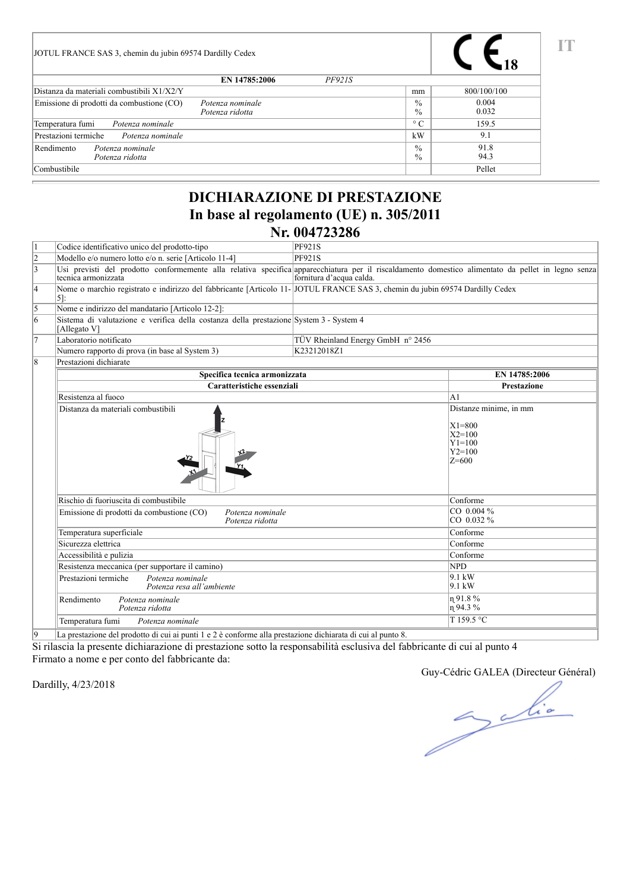| JOTUL FRANCE SAS 3, chemin du jubin 69574 Dardilly Cedex                         |               |                                |                |
|----------------------------------------------------------------------------------|---------------|--------------------------------|----------------|
| EN 14785:2006                                                                    | <b>PF921S</b> |                                |                |
| Distanza da materiali combustibili X1/X2/Y                                       |               | mm                             | 800/100/100    |
| Emissione di prodotti da combustione (CO)<br>Potenza nominale<br>Potenza ridotta |               | $\frac{0}{0}$<br>$\frac{0}{0}$ | 0.004<br>0.032 |
| Temperatura fumi<br>Potenza nominale                                             |               | $\circ$ C                      | 159.5          |
| Prestazioni termiche<br>Potenza nominale                                         |               | kW                             | 9.1            |
| Rendimento<br>Potenza nominale<br>Potenza ridotta                                |               | $\frac{0}{0}$<br>$\frac{0}{0}$ | 91.8<br>94.3   |
| Combustibile                                                                     |               |                                | Pellet         |

#### **DICHIARAZIONE DI PRESTAZIONE In base al regolamento (UE) n. 305/2011 Nr. 004723286**

| lı.            | Codice identificativo unico del prodotto-tipo                                                                                                                             | <b>PF921S</b>                     |                                                                                           |
|----------------|---------------------------------------------------------------------------------------------------------------------------------------------------------------------------|-----------------------------------|-------------------------------------------------------------------------------------------|
| $\frac{2}{3}$  | Modello e/o numero lotto e/o n. serie [Articolo 11-4]                                                                                                                     | PF921S                            |                                                                                           |
|                | Usi previsti del prodotto conformemente alla relativa specifica apparecchiatura per il riscaldamento domestico alimentato da pellet in legno senza<br>tecnica armonizzata | fornitura d'acqua calda.          |                                                                                           |
| 4              | Nome o marchio registrato e indirizzo del fabbricante [Articolo 11-]JOTUL FRANCE SAS 3, chemin du jubin 69574 Dardilly Cedex<br>5]:                                       |                                   |                                                                                           |
| 5              | Nome e indirizzo del mandatario [Articolo 12-2]:                                                                                                                          |                                   |                                                                                           |
| $\overline{6}$ | Sistema di valutazione e verifica della costanza della prestazione System 3 - System 4<br>[Allegato V]                                                                    |                                   |                                                                                           |
| 17             | Laboratorio notificato                                                                                                                                                    | TÜV Rheinland Energy GmbH n° 2456 |                                                                                           |
|                | Numero rapporto di prova (in base al System 3)                                                                                                                            | K23212018Z1                       |                                                                                           |
| 8              | Prestazioni dichiarate                                                                                                                                                    |                                   |                                                                                           |
|                | Specifica tecnica armonizzata                                                                                                                                             |                                   | EN 14785:2006                                                                             |
|                | Caratteristiche essenziali                                                                                                                                                |                                   | <b>Prestazione</b>                                                                        |
|                | Resistenza al fuoco                                                                                                                                                       |                                   | A1                                                                                        |
|                | Distanza da materiali combustibili                                                                                                                                        |                                   | Distanze minime, in mm<br>$X1 = 800$<br>$X2 = 100$<br>$Y1 = 100$<br>$Y2 = 100$<br>$Z=600$ |
|                | Rischio di fuoriuscita di combustibile                                                                                                                                    |                                   | Conforme                                                                                  |
|                | Emissione di prodotti da combustione (CO)<br>Potenza nominale<br>Potenza ridotta                                                                                          |                                   | CO 0.004 %<br>CO 0.032 %                                                                  |
|                | Temperatura superficiale                                                                                                                                                  |                                   | Conforme                                                                                  |
|                | Sicurezza elettrica                                                                                                                                                       |                                   | Conforme                                                                                  |
|                | Accessibilità e pulizia                                                                                                                                                   |                                   | Conforme                                                                                  |
|                | Resistenza meccanica (per supportare il camino)                                                                                                                           |                                   | <b>NPD</b>                                                                                |
|                | Prestazioni termiche<br>Potenza nominale<br>Potenza resa all'ambiente                                                                                                     |                                   | $9.1 \text{ kW}$<br>$9.1 \text{ kW}$                                                      |
|                | Rendimento<br>Potenza nominale<br>Potenza ridotta                                                                                                                         |                                   | n 91.8 %<br>η 94.3%                                                                       |
|                | Temperatura fumi<br>Potenza nominale                                                                                                                                      |                                   | T159.5 °C                                                                                 |
| l9             | La prestazione del prodotto di cui ai punti 1 e 2 è conforme alla prestazione dichiarata di cui al punto 8.                                                               |                                   |                                                                                           |

Si rilascia la presente dichiarazione di prestazione sotto la responsabilità esclusiva del fabbricante di cui al punto 4

Firmato a nome e per conto del fabbricante da:

Dardilly, 4/23/2018

Guy-Cédric GALEA (Directeur Général)

**IT**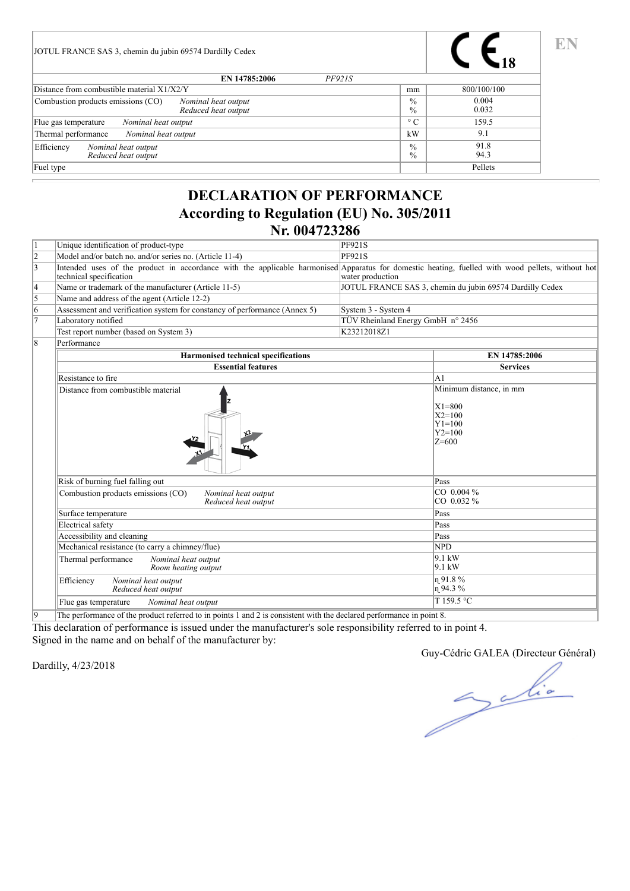| JOTUL FRANCE SAS 3, chemin du jubin 69574 Dardilly Cedex                         |                                |                |
|----------------------------------------------------------------------------------|--------------------------------|----------------|
| EN 14785:2006<br><i>PF921S</i>                                                   |                                |                |
| Distance from combustible material $X1/X2/Y$                                     | mm                             | 800/100/100    |
| Combustion products emissions (CO)<br>Nominal heat output<br>Reduced heat output | $\frac{0}{0}$<br>$\frac{0}{0}$ | 0.004<br>0.032 |
| Nominal heat output<br>Flue gas temperature                                      | $\circ$ C                      | 159.5          |
| Thermal performance<br>Nominal heat output                                       | kW                             | 9.1            |
| Efficiency<br>Nominal heat output<br>Reduced heat output                         | $\frac{0}{0}$<br>$\%$          | 91.8<br>94.3   |
| Fuel type                                                                        |                                | Pellets        |

#### **DECLARATION OF PERFORMANCE According to Regulation (EU) No. 305/2011 Nr. 004723286**

| l1             | Unique identification of product-type                                                                                                                                       | <b>PF921S</b>                     |                                                                                            |
|----------------|-----------------------------------------------------------------------------------------------------------------------------------------------------------------------------|-----------------------------------|--------------------------------------------------------------------------------------------|
| $\frac{2}{3}$  | Model and/or batch no. and/or series no. (Article 11-4)                                                                                                                     | <b>PF921S</b>                     |                                                                                            |
|                | Intended uses of the product in accordance with the applicable harmonised Apparatus for domestic heating, fuelled with wood pellets, without hot<br>technical specification | water production                  |                                                                                            |
| 4              | Name or trademark of the manufacturer (Article 11-5)                                                                                                                        |                                   | JOTUL FRANCE SAS 3, chemin du jubin 69574 Dardilly Cedex                                   |
| $\overline{5}$ | Name and address of the agent (Article 12-2)                                                                                                                                |                                   |                                                                                            |
| $\overline{6}$ | Assessment and verification system for constancy of performance (Annex 5)                                                                                                   | System 3 - System 4               |                                                                                            |
| $\overline{7}$ | Laboratory notified                                                                                                                                                         | TÜV Rheinland Energy GmbH n° 2456 |                                                                                            |
|                | Test report number (based on System 3)                                                                                                                                      | K23212018Z1                       |                                                                                            |
| 18             | Performance                                                                                                                                                                 |                                   |                                                                                            |
|                | <b>Harmonised technical specifications</b>                                                                                                                                  |                                   | EN 14785:2006                                                                              |
|                | <b>Essential features</b>                                                                                                                                                   |                                   | <b>Services</b>                                                                            |
|                | Resistance to fire                                                                                                                                                          |                                   | A <sub>1</sub>                                                                             |
|                | Distance from combustible material                                                                                                                                          |                                   | Minimum distance, in mm<br>$X1 = 800$<br>$X2 = 100$<br>$Y1 = 100$<br>$Y2 = 100$<br>$Z=600$ |
|                | Risk of burning fuel falling out                                                                                                                                            |                                   | Pass                                                                                       |
|                | Combustion products emissions (CO)<br>Nominal heat output<br>Reduced heat output                                                                                            |                                   | CO 0.004 %<br>CO 0.032 %                                                                   |
|                | Surface temperature                                                                                                                                                         |                                   | Pass                                                                                       |
|                | Electrical safety                                                                                                                                                           |                                   | Pass                                                                                       |
|                | Accessibility and cleaning                                                                                                                                                  |                                   | Pass                                                                                       |
|                | Mechanical resistance (to carry a chimney/flue)                                                                                                                             |                                   | <b>NPD</b>                                                                                 |
|                | Thermal performance<br>Nominal heat output<br>Room heating output                                                                                                           |                                   | $9.1 \text{ kW}$<br>9.1 kW                                                                 |
|                | Efficiency<br>Nominal heat output<br>Reduced heat output                                                                                                                    |                                   | n 91.8%<br>$n$ 94.3%                                                                       |
|                | Nominal heat output<br>Flue gas temperature                                                                                                                                 |                                   | T159.5 °C                                                                                  |
|                |                                                                                                                                                                             |                                   |                                                                                            |

9 The performance of the product referred to in points 1 and 2 is consistent with the declared performance in point 8.

This declaration of performance is issued under the manufacturer's sole responsibility referred to in point 4. Signed in the name and on behalf of the manufacturer by:

Dardilly, 4/23/2018

Guy-Cédric GALEA (Directeur Général)

**EN**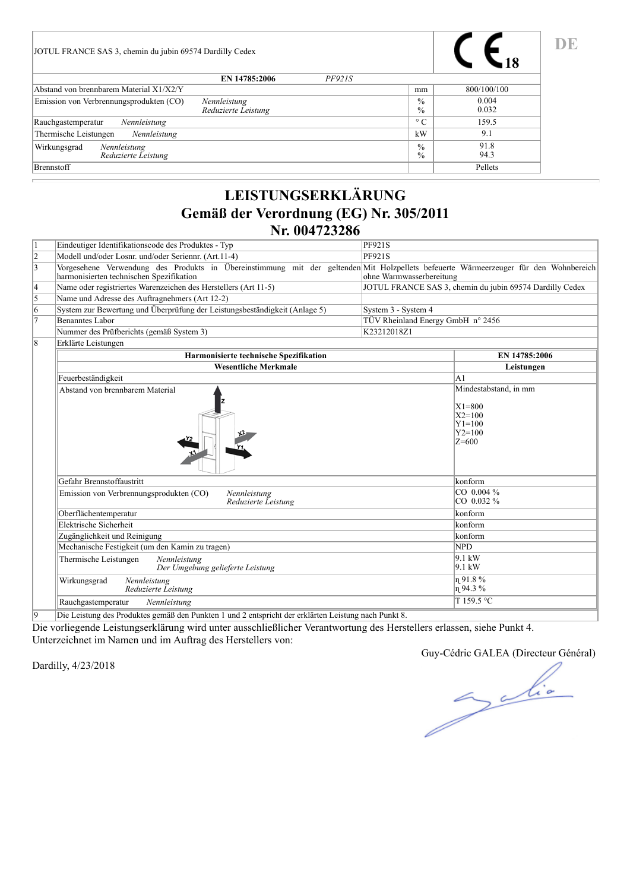| JOTUL FRANCE SAS 3, chemin du jubin 69574 Dardilly Cedex |                                |                                |                |
|----------------------------------------------------------|--------------------------------|--------------------------------|----------------|
|                                                          | EN 14785:2006<br><b>PF921S</b> |                                |                |
| Abstand von brennbarem Material X1/X2/Y                  |                                | mm                             | 800/100/100    |
| Emission von Verbrennungsprodukten (CO)<br>Nennleistung  | Reduzierte Leistung            | $\frac{0}{0}$<br>$\frac{0}{0}$ | 0.004<br>0.032 |
| Nennleistung<br>Rauchgastemperatur                       |                                | $\circ$ C                      | 159.5          |
| Thermische Leistungen<br>Nennleistung                    |                                | kW                             | 9.1            |
| Wirkungsgrad<br>Nennleistung<br>Reduzierte Leistung      |                                | $\frac{0}{0}$<br>$\frac{0}{0}$ | 91.8<br>94.3   |
| <b>B</b> rennstoff                                       |                                |                                | Pellets        |

# **LEISTUNGSERKLÄRUNG Gemäß der Verordnung (EG) Nr. 305/2011 Nr. 004723286**

|    | <b>Harmonisierte technische Spezifikation</b>                                                                                                                                    | EN 14785:2006                                            |
|----|----------------------------------------------------------------------------------------------------------------------------------------------------------------------------------|----------------------------------------------------------|
| 18 | Erklärte Leistungen                                                                                                                                                              |                                                          |
|    | Nummer des Prüfberichts (gemäß System 3)                                                                                                                                         | K23212018Z1                                              |
|    | Benanntes Labor                                                                                                                                                                  | TÜV Rheinland Energy GmbH n° 2456                        |
| 16 | System zur Bewertung und Überprüfung der Leistungsbeständigkeit (Anlage 5)                                                                                                       | System 3 - System 4                                      |
|    | Name und Adresse des Auftragnehmers (Art 12-2)                                                                                                                                   |                                                          |
| 14 | Name oder registriertes Warenzeichen des Herstellers (Art 11-5)                                                                                                                  | JOTUL FRANCE SAS 3, chemin du jubin 69574 Dardilly Cedex |
| 13 | Vorgesehene Verwendung des Produkts in Übereinstimmung mit der geltenden Mit Holzpellets befeuerte Wärmeerzeuger für den Wohnbereich<br>harmonisierten technischen Spezifikation | ohne Warmwasserbereitung                                 |
|    | Modell und/oder Losnr. und/oder Seriennr. (Art.11-4)                                                                                                                             | P F 921S                                                 |
|    | Eindeutiger Identifikationscode des Produktes - Typ                                                                                                                              | PF921S                                                   |
|    |                                                                                                                                                                                  |                                                          |

| Harmonisierte technische Spezifikation                                         | EN 14785:2006                                                                    |
|--------------------------------------------------------------------------------|----------------------------------------------------------------------------------|
| <b>Wesentliche Merkmale</b>                                                    | Leistungen                                                                       |
| Feuerbeständigkeit                                                             | lA1                                                                              |
| Abstand von brennbarem Material                                                | Mindestabstand, in mm<br>$X1=800$<br>$X2=100$<br>$Y1=100$<br>$Y2=100$<br>$Z=600$ |
| Gefahr Brennstoffaustritt                                                      | konform                                                                          |
| Emission von Verbrennungsprodukten (CO)<br>Nennleistung<br>Reduzierte Leistung | CO 0.004 %<br>$ CO 0.032\%$                                                      |
| Oberflächentemperatur                                                          | konform                                                                          |
| Elektrische Sicherheit                                                         | konform                                                                          |
| Zugänglichkeit und Reinigung                                                   | konform                                                                          |
| Mechanische Festigkeit (um den Kamin zu tragen)                                | NPD                                                                              |
| Thermische Leistungen<br>Nennleistung<br>Der Umgebung gelieferte Leistung      | $9.1 \text{ kW}$<br>$9.1 \text{ kW}$                                             |
| Wirkungsgrad<br>Nennleistung<br>Reduzierte Leistung                            | n91.8%<br>$ n $ 94.3 %                                                           |
| Rauchgastemperatur<br>Nennleistung                                             | T 159.5 °C                                                                       |

9 Die Leistung des Produktes gemäß den Punkten 1 und 2 entspricht der erklärten Leistung nach Punkt 8.

Die vorliegende Leistungserklärung wird unter ausschließlicher Verantwortung des Herstellers erlassen, siehe Punkt 4. Unterzeichnet im Namen und im Auftrag des Herstellers von:

Dardilly, 4/23/2018

Guy-Cédric GALEA (Directeur Général)

Julia

**DE**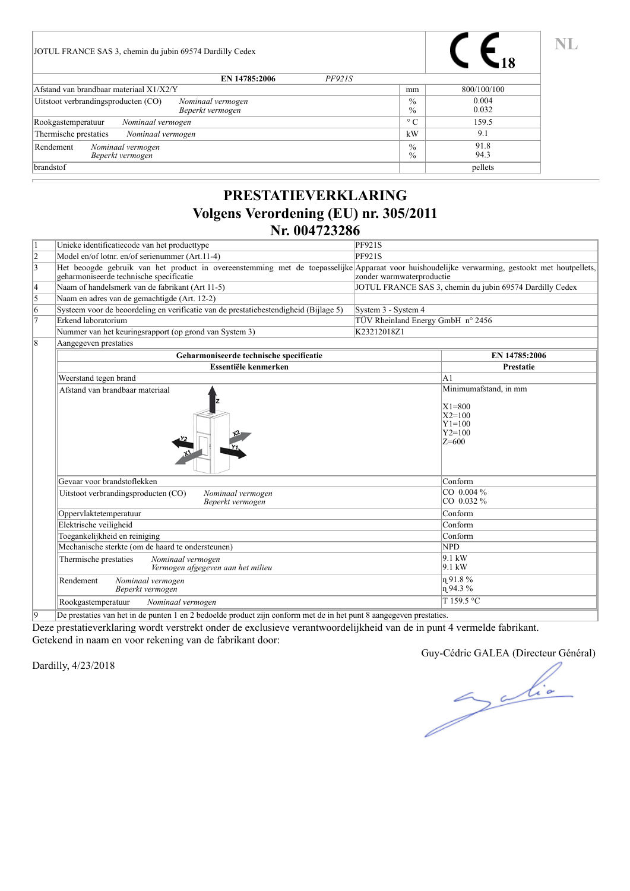| JOTUL FRANCE SAS 3, chemin du jubin 69574 Dardilly Cedex                     |                                |                |
|------------------------------------------------------------------------------|--------------------------------|----------------|
| EN 14785:2006<br>PF921S                                                      |                                |                |
| Afstand van brandbaar materiaal X1/X2/Y                                      | mm                             | 800/100/100    |
| Uitstoot verbrandingsproducten (CO)<br>Nominaal vermogen<br>Beperkt vermogen | $\frac{0}{0}$<br>$\frac{0}{0}$ | 0.004<br>0.032 |
| Nominaal vermogen<br>Rookgastemperatuur                                      | $\circ$ C                      | 159.5          |
| Thermische prestaties<br>Nominaal vermogen                                   | kW                             | 9.1            |
| Rendement<br>Nominaal vermogen<br>Beperkt vermogen                           | $\frac{0}{0}$<br>$\%$          | 91.8<br>94.3   |
| brandstof                                                                    |                                | pellets        |

## **PRESTATIEVERKLARING Volgens Verordening (EU) nr. 305/2011 Nr. 004723286**

| l1             | Unieke identificatiecode van het producttype                                                                                                                                              | <b>PF921S</b>                     |                                                                                      |
|----------------|-------------------------------------------------------------------------------------------------------------------------------------------------------------------------------------------|-----------------------------------|--------------------------------------------------------------------------------------|
| $\frac{2}{3}$  | Model en/of lotnr. en/of serienummer (Art.11-4)                                                                                                                                           | <b>PF921S</b>                     |                                                                                      |
|                | Het beoogde gebruik van het product in overeenstemming met de toepasselijke Apparaat voor huishoudelijke verwarming, gestookt met houtpellets,<br>geharmoniseerde technische specificatie | zonder warmwaterproductie         |                                                                                      |
| 4              | Naam of handelsmerk van de fabrikant (Art 11-5)                                                                                                                                           |                                   | JOTUL FRANCE SAS 3, chemin du jubin 69574 Dardilly Cedex                             |
| 5              | Naam en adres van de gemachtigde (Art. 12-2)                                                                                                                                              |                                   |                                                                                      |
| 6              | Systeem voor de beoordeling en verificatie van de prestatiebestendigheid (Bijlage 5)                                                                                                      | System 3 - System 4               |                                                                                      |
| $\overline{7}$ | Erkend laboratorium                                                                                                                                                                       | TÜV Rheinland Energy GmbH n° 2456 |                                                                                      |
|                | Nummer van het keuringsrapport (op grond van System 3)                                                                                                                                    | K23212018Z1                       |                                                                                      |
| 18             | Aangegeven prestaties                                                                                                                                                                     |                                   |                                                                                      |
|                | Geharmoniseerde technische specificatie                                                                                                                                                   |                                   | EN 14785:2006                                                                        |
|                | Essentiële kenmerken                                                                                                                                                                      |                                   | Prestatie                                                                            |
|                | Weerstand tegen brand                                                                                                                                                                     |                                   | A1                                                                                   |
|                | Afstand van brandbaar materiaal                                                                                                                                                           |                                   | Minimumafstand, in mm<br>$X1=800$<br>$X2=100$<br>$Y1 = 100$<br>$Y2 = 100$<br>$Z=600$ |
|                | Gevaar voor brandstoflekken                                                                                                                                                               |                                   | Conform                                                                              |
|                | Uitstoot verbrandingsproducten (CO)<br>Nominaal vermogen<br>Beperkt vermogen                                                                                                              |                                   | CO 0.004 %<br>CO 0.032 %                                                             |
|                | Oppervlaktetemperatuur                                                                                                                                                                    |                                   | Conform                                                                              |
|                | Elektrische veiligheid                                                                                                                                                                    |                                   | Conform                                                                              |
|                | Toegankelijkheid en reiniging                                                                                                                                                             |                                   | Conform                                                                              |
|                | Mechanische sterkte (om de haard te ondersteunen)                                                                                                                                         |                                   | <b>NPD</b>                                                                           |
|                | Thermische prestaties<br>Nominaal vermogen<br>Vermogen afgegeven aan het milieu                                                                                                           |                                   | $9.1 \text{ kW}$<br>$9.1 \text{ kW}$                                                 |
|                | Nominaal vermogen<br>Rendement<br>Beperkt vermogen                                                                                                                                        |                                   | n 91.8%<br>n94.3%                                                                    |
|                | Nominaal vermogen<br>Rookgastemperatuur                                                                                                                                                   |                                   | T 159.5 °C                                                                           |
|                |                                                                                                                                                                                           |                                   |                                                                                      |

9 De prestaties van het in de punten 1 en 2 bedoelde product zijn conform met de in het punt 8 aangegeven prestaties.

Deze prestatieverklaring wordt verstrekt onder de exclusieve verantwoordelijkheid van de in punt 4 vermelde fabrikant. Getekend in naam en voor rekening van de fabrikant door:

Dardilly, 4/23/2018

Guy-Cédric GALEA (Directeur Général)

Juice

**NL**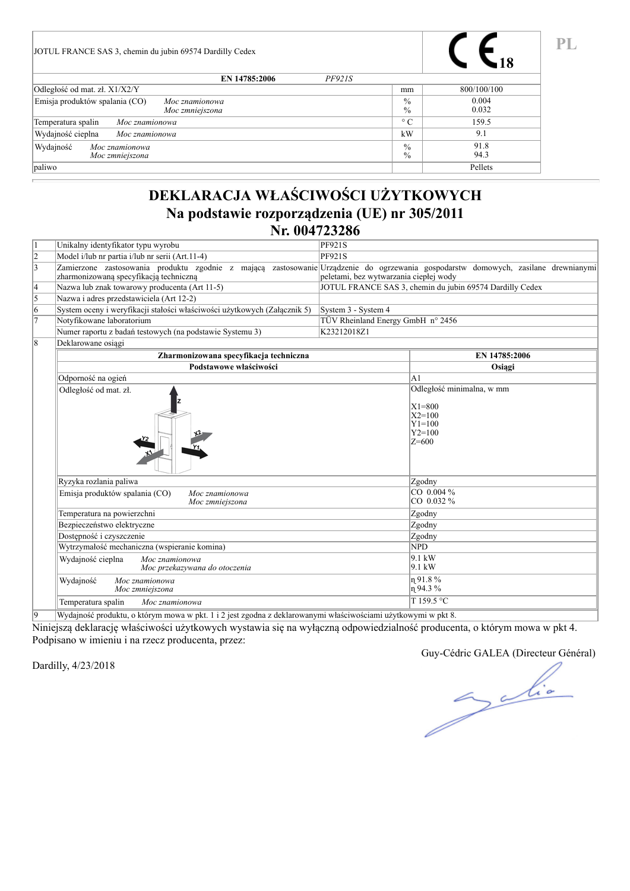| JOTUL FRANCE SAS 3, chemin du jubin 69574 Dardilly Cedex            |                                |                |
|---------------------------------------------------------------------|--------------------------------|----------------|
| EN 14785:2006<br>PF921S                                             |                                |                |
| Odległość od mat. zł. X1/X2/Y                                       | mm                             | 800/100/100    |
| Emisja produktów spalania (CO)<br>Moc znamionowa<br>Moc zmniejszona | $\frac{0}{0}$<br>$\frac{0}{0}$ | 0.004<br>0.032 |
| Temperatura spalin<br>Moc znamionowa                                | $\circ$ C                      | 159.5          |
| Wydajność cieplna<br>Moc znamionowa                                 | kW                             | 9.1            |
| Wydajność<br>Moc znamionowa<br>Moc zmniejszona                      | $\frac{0}{0}$<br>$\%$          | 91.8<br>94.3   |
| paliwo                                                              |                                | Pellets        |

## **DEKLARACJA WŁAŚCIWOŚCI UŻYTKOWYCH Na podstawie rozporządzenia (UE) nr 305/2011 Nr. 004723286**

| 1              | Unikalny identyfikator typu wyrobu                                                                                                                                           | <b>PF921S</b>                          |                                                                                      |
|----------------|------------------------------------------------------------------------------------------------------------------------------------------------------------------------------|----------------------------------------|--------------------------------------------------------------------------------------|
| $\overline{2}$ | Model i/lub nr partia i/lub nr serii (Art.11-4)                                                                                                                              | <b>PF921S</b>                          |                                                                                      |
| $\overline{3}$ | Zamierzone zastosowania produktu zgodnie z mającą zastosowanie Urządzenie do ogrzewania gospodarstw domowych, zasilane drewnianymi<br>zharmonizowaną specyfikacją techniczną | peletami, bez wytwarzania ciepłej wody |                                                                                      |
| $\vert 4$      | Nazwa lub znak towarowy producenta (Art 11-5)                                                                                                                                |                                        | JOTUL FRANCE SAS 3, chemin du jubin 69574 Dardilly Cedex                             |
| $\overline{5}$ | Nazwa i adres przedstawiciela (Art 12-2)                                                                                                                                     |                                        |                                                                                      |
| 6              | System oceny i weryfikacji stałości właściwości użytkowych (Załącznik 5)                                                                                                     | System 3 - System 4                    |                                                                                      |
| $\overline{7}$ | Notyfikowane laboratorium                                                                                                                                                    | TÜV Rheinland Energy GmbH n° 2456      |                                                                                      |
|                | Numer raportu z badań testowych (na podstawie Systemu 3)                                                                                                                     | K23212018Z1                            |                                                                                      |
| $\overline{8}$ | Deklarowane osiągi                                                                                                                                                           |                                        |                                                                                      |
|                | Zharmonizowana specyfikacja techniczna                                                                                                                                       |                                        | EN 14785:2006                                                                        |
|                | Podstawowe właściwości                                                                                                                                                       |                                        | Osiągi                                                                               |
|                | Odporność na ogień                                                                                                                                                           |                                        | lA1                                                                                  |
|                | Odległość od mat. zł.                                                                                                                                                        |                                        | Odległość minimalna, w mm<br>$X1=800$<br>$X2=100$<br>$Y1=100$<br>$Y2=100$<br>$Z=600$ |
|                | Ryzyka rozlania paliwa                                                                                                                                                       |                                        | Zgodny                                                                               |
|                | Emisja produktów spalania (CO)<br>Moc znamionowa<br>Moc zmniejszona                                                                                                          |                                        | $CO$ 0.004 %<br>$CO$ 0.032 %                                                         |
|                | Temperatura na powierzchni                                                                                                                                                   |                                        | Zgodny                                                                               |
|                | Bezpieczeństwo elektryczne                                                                                                                                                   |                                        | Zgodny                                                                               |
|                | Dostępność i czyszczenie                                                                                                                                                     |                                        | Zgodny                                                                               |
|                | Wytrzymałość mechaniczna (wspieranie komina)                                                                                                                                 |                                        | <b>NPD</b>                                                                           |
|                | Wydajność cieplna<br>Moc znamionowa<br>Moc przekazywana do otoczenia                                                                                                         |                                        | $9.1 \text{ kW}$<br>$9.1 \text{ kW}$                                                 |
|                | Wydajność<br>Moc znamionowa<br>Moc zmniejszona                                                                                                                               |                                        | η 91.8%<br>$n$ 94.3%                                                                 |
|                | Temperatura spalin<br>Moc znamionowa                                                                                                                                         |                                        | T 159.5 °C                                                                           |
|                | $\mathbf{v}$<br>$\mathbf{1}$ and $\mathbf{1}$ and $\mathbf{1}$ and $\mathbf{1}$<br>1, 1, 1                                                                                   | . <i>.</i> . <i>.</i>                  |                                                                                      |

9 Wydajność produktu, o którym mowa w pkt. 1 i 2 jest zgodna z deklarowanymi właściwościami użytkowymi w pkt 8.

Niniejszą deklarację właściwości użytkowych wystawia się na wyłączną odpowiedzialność producenta, o którym mowa w pkt 4. Podpisano w imieniu i na rzecz producenta, przez:

Dardilly, 4/23/2018

Guy-Cédric GALEA (Directeur Général)

Julie

**PL**